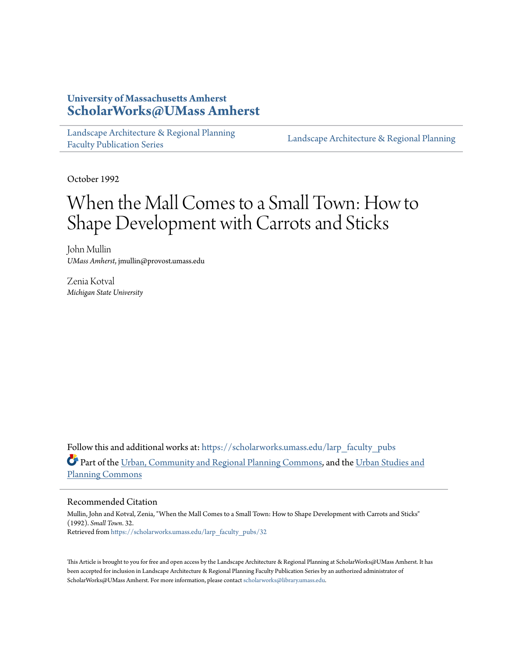# **University of Massachusetts Amherst [ScholarWorks@UMass Amherst](https://scholarworks.umass.edu?utm_source=scholarworks.umass.edu%2Flarp_faculty_pubs%2F32&utm_medium=PDF&utm_campaign=PDFCoverPages)**

[Landscape Architecture & Regional Planning](https://scholarworks.umass.edu/larp_faculty_pubs?utm_source=scholarworks.umass.edu%2Flarp_faculty_pubs%2F32&utm_medium=PDF&utm_campaign=PDFCoverPages) [Faculty Publication Series](https://scholarworks.umass.edu/larp_faculty_pubs?utm_source=scholarworks.umass.edu%2Flarp_faculty_pubs%2F32&utm_medium=PDF&utm_campaign=PDFCoverPages)

[Landscape Architecture & Regional Planning](https://scholarworks.umass.edu/larp?utm_source=scholarworks.umass.edu%2Flarp_faculty_pubs%2F32&utm_medium=PDF&utm_campaign=PDFCoverPages)

October 1992

# When the Mall Comes to a Small Town: How to Shape Development with Carrots and Sticks

John Mullin *UMass Amherst*, jmullin@provost.umass.edu

Zenia Kotval *Michigan State University*

Follow this and additional works at: [https://scholarworks.umass.edu/larp\\_faculty\\_pubs](https://scholarworks.umass.edu/larp_faculty_pubs?utm_source=scholarworks.umass.edu%2Flarp_faculty_pubs%2F32&utm_medium=PDF&utm_campaign=PDFCoverPages) Part of the [Urban, Community and Regional Planning Commons](http://network.bepress.com/hgg/discipline/776?utm_source=scholarworks.umass.edu%2Flarp_faculty_pubs%2F32&utm_medium=PDF&utm_campaign=PDFCoverPages), and the [Urban Studies and](http://network.bepress.com/hgg/discipline/436?utm_source=scholarworks.umass.edu%2Flarp_faculty_pubs%2F32&utm_medium=PDF&utm_campaign=PDFCoverPages) [Planning Commons](http://network.bepress.com/hgg/discipline/436?utm_source=scholarworks.umass.edu%2Flarp_faculty_pubs%2F32&utm_medium=PDF&utm_campaign=PDFCoverPages)

#### Recommended Citation

Mullin, John and Kotval, Zenia, "When the Mall Comes to a Small Town: How to Shape Development with Carrots and Sticks" (1992). *Small Town*. 32. Retrieved from [https://scholarworks.umass.edu/larp\\_faculty\\_pubs/32](https://scholarworks.umass.edu/larp_faculty_pubs/32?utm_source=scholarworks.umass.edu%2Flarp_faculty_pubs%2F32&utm_medium=PDF&utm_campaign=PDFCoverPages)

This Article is brought to you for free and open access by the Landscape Architecture & Regional Planning at ScholarWorks@UMass Amherst. It has been accepted for inclusion in Landscape Architecture & Regional Planning Faculty Publication Series by an authorized administrator of ScholarWorks@UMass Amherst. For more information, please contact [scholarworks@library.umass.edu.](mailto:scholarworks@library.umass.edu)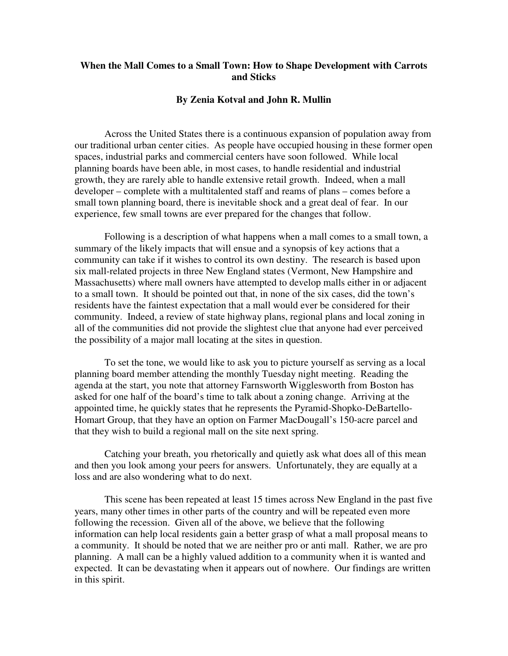# **When the Mall Comes to a Small Town: How to Shape Development with Carrots and Sticks**

#### **By Zenia Kotval and John R. Mullin**

 Across the United States there is a continuous expansion of population away from our traditional urban center cities. As people have occupied housing in these former open spaces, industrial parks and commercial centers have soon followed. While local planning boards have been able, in most cases, to handle residential and industrial growth, they are rarely able to handle extensive retail growth. Indeed, when a mall developer – complete with a multitalented staff and reams of plans – comes before a small town planning board, there is inevitable shock and a great deal of fear. In our experience, few small towns are ever prepared for the changes that follow.

 Following is a description of what happens when a mall comes to a small town, a summary of the likely impacts that will ensue and a synopsis of key actions that a community can take if it wishes to control its own destiny. The research is based upon six mall-related projects in three New England states (Vermont, New Hampshire and Massachusetts) where mall owners have attempted to develop malls either in or adjacent to a small town. It should be pointed out that, in none of the six cases, did the town's residents have the faintest expectation that a mall would ever be considered for their community. Indeed, a review of state highway plans, regional plans and local zoning in all of the communities did not provide the slightest clue that anyone had ever perceived the possibility of a major mall locating at the sites in question.

 To set the tone, we would like to ask you to picture yourself as serving as a local planning board member attending the monthly Tuesday night meeting. Reading the agenda at the start, you note that attorney Farnsworth Wigglesworth from Boston has asked for one half of the board's time to talk about a zoning change. Arriving at the appointed time, he quickly states that he represents the Pyramid-Shopko-DeBartello-Homart Group, that they have an option on Farmer MacDougall's 150-acre parcel and that they wish to build a regional mall on the site next spring.

 Catching your breath, you rhetorically and quietly ask what does all of this mean and then you look among your peers for answers. Unfortunately, they are equally at a loss and are also wondering what to do next.

 This scene has been repeated at least 15 times across New England in the past five years, many other times in other parts of the country and will be repeated even more following the recession. Given all of the above, we believe that the following information can help local residents gain a better grasp of what a mall proposal means to a community. It should be noted that we are neither pro or anti mall. Rather, we are pro planning. A mall can be a highly valued addition to a community when it is wanted and expected. It can be devastating when it appears out of nowhere. Our findings are written in this spirit.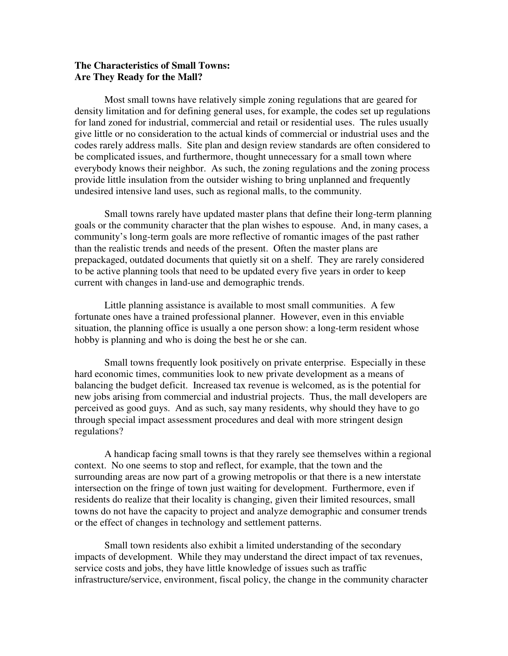### **The Characteristics of Small Towns: Are They Ready for the Mall?**

 Most small towns have relatively simple zoning regulations that are geared for density limitation and for defining general uses, for example, the codes set up regulations for land zoned for industrial, commercial and retail or residential uses. The rules usually give little or no consideration to the actual kinds of commercial or industrial uses and the codes rarely address malls. Site plan and design review standards are often considered to be complicated issues, and furthermore, thought unnecessary for a small town where everybody knows their neighbor. As such, the zoning regulations and the zoning process provide little insulation from the outsider wishing to bring unplanned and frequently undesired intensive land uses, such as regional malls, to the community.

 Small towns rarely have updated master plans that define their long-term planning goals or the community character that the plan wishes to espouse. And, in many cases, a community's long-term goals are more reflective of romantic images of the past rather than the realistic trends and needs of the present. Often the master plans are prepackaged, outdated documents that quietly sit on a shelf. They are rarely considered to be active planning tools that need to be updated every five years in order to keep current with changes in land-use and demographic trends.

 Little planning assistance is available to most small communities. A few fortunate ones have a trained professional planner. However, even in this enviable situation, the planning office is usually a one person show: a long-term resident whose hobby is planning and who is doing the best he or she can.

 Small towns frequently look positively on private enterprise. Especially in these hard economic times, communities look to new private development as a means of balancing the budget deficit. Increased tax revenue is welcomed, as is the potential for new jobs arising from commercial and industrial projects. Thus, the mall developers are perceived as good guys. And as such, say many residents, why should they have to go through special impact assessment procedures and deal with more stringent design regulations?

 A handicap facing small towns is that they rarely see themselves within a regional context. No one seems to stop and reflect, for example, that the town and the surrounding areas are now part of a growing metropolis or that there is a new interstate intersection on the fringe of town just waiting for development. Furthermore, even if residents do realize that their locality is changing, given their limited resources, small towns do not have the capacity to project and analyze demographic and consumer trends or the effect of changes in technology and settlement patterns.

 Small town residents also exhibit a limited understanding of the secondary impacts of development. While they may understand the direct impact of tax revenues, service costs and jobs, they have little knowledge of issues such as traffic infrastructure/service, environment, fiscal policy, the change in the community character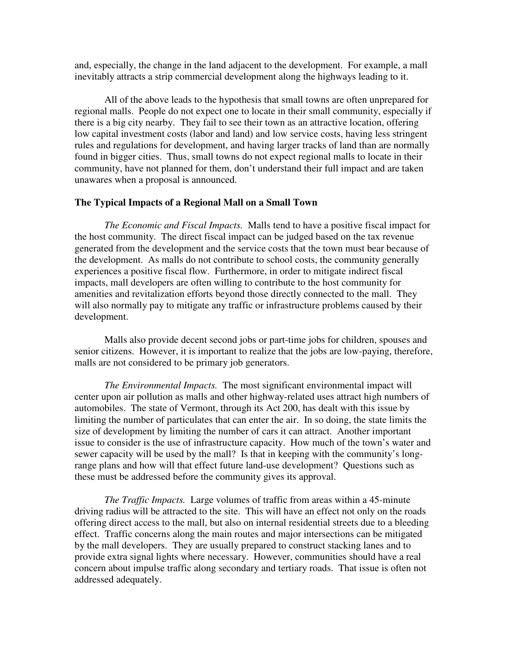and, especially, the change in the land adjacent to the development. For example, a mall inevitably attracts a strip commercial development along the highways leading to it.

 All of the above leads to the hypothesis that small towns are often unprepared for regional malls. People do not expect one to locate in their small community, especially if there is a big city nearby. They fail to see their town as an attractive location, offering low capital investment costs (labor and land) and low service costs, having less stringent rules and regulations for development, and having larger tracks of land than are normally found in bigger cities. Thus, small towns do not expect regional malls to locate in their community, have not planned for them, don't understand their full impact and are taken unawares when a proposal is announced.

#### **The Typical Impacts of a Regional Mall on a Small Town**

*The Economic and Fiscal Impacts.* Malls tend to have a positive fiscal impact for the host community. The direct fiscal impact can be judged based on the tax revenue generated from the development and the service costs that the town must bear because of the development. As malls do not contribute to school costs, the community generally experiences a positive fiscal flow. Furthermore, in order to mitigate indirect fiscal impacts, mall developers are often willing to contribute to the host community for amenities and revitalization efforts beyond those directly connected to the mall. They will also normally pay to mitigate any traffic or infrastructure problems caused by their development.

 Malls also provide decent second jobs or part-time jobs for children, spouses and senior citizens. However, it is important to realize that the jobs are low-paying, therefore, malls are not considered to be primary job generators.

*The Environmental Impacts.* The most significant environmental impact will center upon air pollution as malls and other highway-related uses attract high numbers of automobiles. The state of Vermont, through its Act 200, has dealt with this issue by limiting the number of particulates that can enter the air. In so doing, the state limits the size of development by limiting the number of cars it can attract. Another important issue to consider is the use of infrastructure capacity. How much of the town's water and sewer capacity will be used by the mall? Is that in keeping with the community's longrange plans and how will that effect future land-use development? Questions such as these must be addressed before the community gives its approval.

*The Traffic Impacts.* Large volumes of traffic from areas within a 45-minute driving radius will be attracted to the site. This will have an effect not only on the roads offering direct access to the mall, but also on internal residential streets due to a bleeding effect. Traffic concerns along the main routes and major intersections can be mitigated by the mall developers. They are usually prepared to construct stacking lanes and to provide extra signal lights where necessary. However, communities should have a real concern about impulse traffic along secondary and tertiary roads. That issue is often not addressed adequately.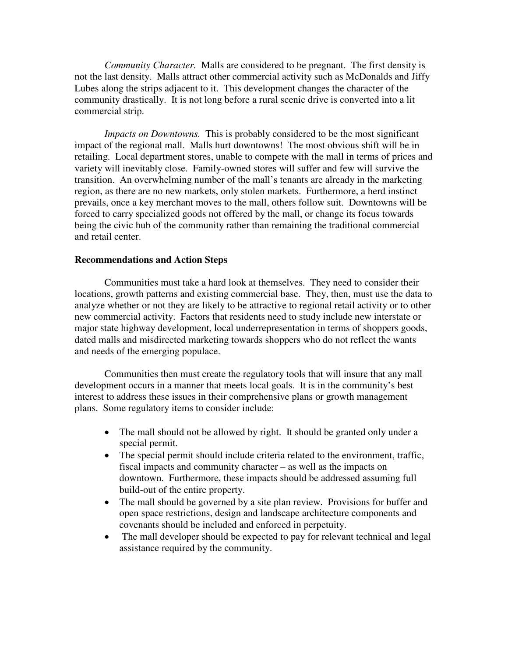*Community Character.* Malls are considered to be pregnant. The first density is not the last density. Malls attract other commercial activity such as McDonalds and Jiffy Lubes along the strips adjacent to it. This development changes the character of the community drastically. It is not long before a rural scenic drive is converted into a lit commercial strip.

*Impacts on Downtowns.* This is probably considered to be the most significant impact of the regional mall. Malls hurt downtowns! The most obvious shift will be in retailing. Local department stores, unable to compete with the mall in terms of prices and variety will inevitably close. Family-owned stores will suffer and few will survive the transition. An overwhelming number of the mall's tenants are already in the marketing region, as there are no new markets, only stolen markets. Furthermore, a herd instinct prevails, once a key merchant moves to the mall, others follow suit. Downtowns will be forced to carry specialized goods not offered by the mall, or change its focus towards being the civic hub of the community rather than remaining the traditional commercial and retail center.

#### **Recommendations and Action Steps**

 Communities must take a hard look at themselves. They need to consider their locations, growth patterns and existing commercial base. They, then, must use the data to analyze whether or not they are likely to be attractive to regional retail activity or to other new commercial activity. Factors that residents need to study include new interstate or major state highway development, local underrepresentation in terms of shoppers goods, dated malls and misdirected marketing towards shoppers who do not reflect the wants and needs of the emerging populace.

 Communities then must create the regulatory tools that will insure that any mall development occurs in a manner that meets local goals. It is in the community's best interest to address these issues in their comprehensive plans or growth management plans. Some regulatory items to consider include:

- The mall should not be allowed by right. It should be granted only under a special permit.
- The special permit should include criteria related to the environment, traffic, fiscal impacts and community character – as well as the impacts on downtown. Furthermore, these impacts should be addressed assuming full build-out of the entire property.
- The mall should be governed by a site plan review. Provisions for buffer and open space restrictions, design and landscape architecture components and covenants should be included and enforced in perpetuity.
- The mall developer should be expected to pay for relevant technical and legal assistance required by the community.